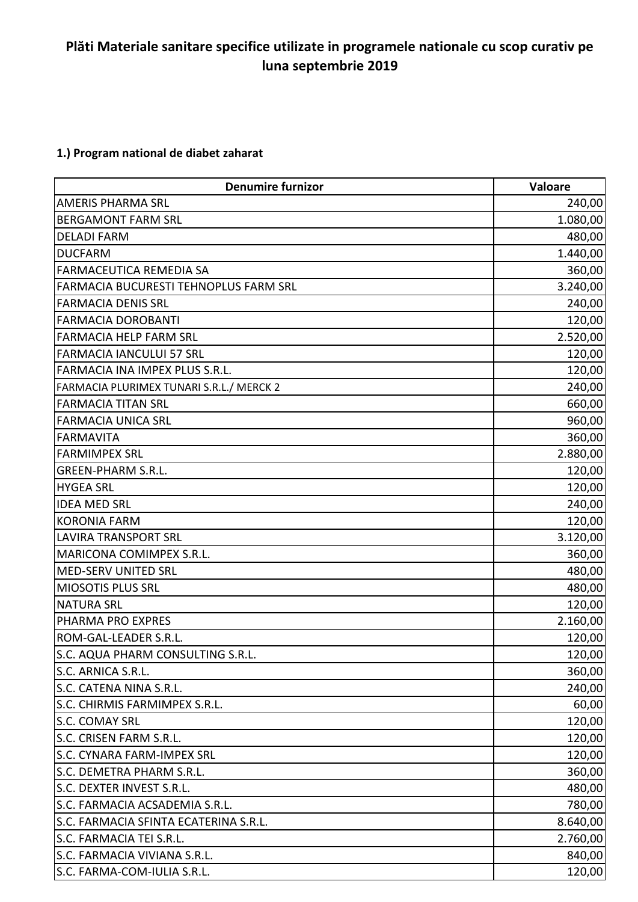## **Plăti Materiale sanitare specifice utilizate in programele nationale cu scop curativ pe luna septembrie 2019**

## **1.) Program national de diabet zaharat**

| <b>Denumire furnizor</b>                     | <b>Valoare</b> |
|----------------------------------------------|----------------|
| <b>AMERIS PHARMA SRL</b>                     | 240,00         |
| <b>BERGAMONT FARM SRL</b>                    | 1.080,00       |
| <b>DELADI FARM</b>                           | 480,00         |
| <b>DUCFARM</b>                               | 1.440,00       |
| FARMACEUTICA REMEDIA SA                      | 360,00         |
| <b>FARMACIA BUCURESTI TEHNOPLUS FARM SRL</b> | 3.240,00       |
| <b>FARMACIA DENIS SRL</b>                    | 240,00         |
| <b>FARMACIA DOROBANTI</b>                    | 120,00         |
| <b>FARMACIA HELP FARM SRL</b>                | 2.520,00       |
| <b>FARMACIA IANCULUI 57 SRL</b>              | 120,00         |
| FARMACIA INA IMPEX PLUS S.R.L.               | 120,00         |
| FARMACIA PLURIMEX TUNARI S.R.L./ MERCK 2     | 240,00         |
| <b>FARMACIA TITAN SRL</b>                    | 660,00         |
| <b>FARMACIA UNICA SRL</b>                    | 960,00         |
| <b>FARMAVITA</b>                             | 360,00         |
| <b>FARMIMPEX SRL</b>                         | 2.880,00       |
| <b>GREEN-PHARM S.R.L.</b>                    | 120,00         |
| <b>HYGEA SRL</b>                             | 120,00         |
| <b>IDEA MED SRL</b>                          | 240,00         |
| <b>KORONIA FARM</b>                          | 120,00         |
| <b>LAVIRA TRANSPORT SRL</b>                  | 3.120,00       |
| MARICONA COMIMPEX S.R.L.                     | 360,00         |
| MED-SERV UNITED SRL                          | 480,00         |
| <b>MIOSOTIS PLUS SRL</b>                     | 480,00         |
| <b>NATURA SRL</b>                            | 120,00         |
| PHARMA PRO EXPRES                            | 2.160,00       |
| ROM-GAL-LEADER S.R.L.                        | 120,00         |
| S.C. AQUA PHARM CONSULTING S.R.L.            | 120,00         |
| S.C. ARNICA S.R.L.                           | 360,00         |
| S.C. CATENA NINA S.R.L.                      | 240,00         |
| S.C. CHIRMIS FARMIMPEX S.R.L.                | 60,00          |
| <b>S.C. COMAY SRL</b>                        | 120,00         |
| S.C. CRISEN FARM S.R.L.                      | 120,00         |
| S.C. CYNARA FARM-IMPEX SRL                   | 120,00         |
| S.C. DEMETRA PHARM S.R.L.                    | 360,00         |
| S.C. DEXTER INVEST S.R.L.                    | 480,00         |
| S.C. FARMACIA ACSADEMIA S.R.L.               | 780,00         |
| S.C. FARMACIA SFINTA ECATERINA S.R.L.        | 8.640,00       |
| S.C. FARMACIA TEI S.R.L.                     | 2.760,00       |
| S.C. FARMACIA VIVIANA S.R.L.                 | 840,00         |
| S.C. FARMA-COM-IULIA S.R.L.                  | 120,00         |